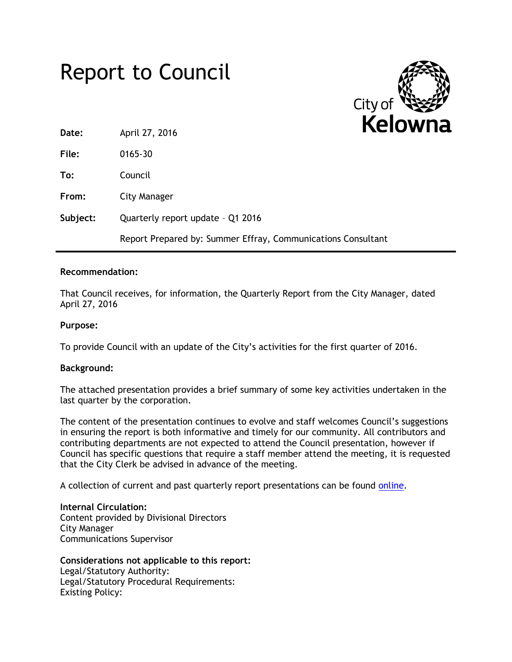## Report to Council



| Date:    | April 27, 2016                                               |  |
|----------|--------------------------------------------------------------|--|
| File:    | 0165-30                                                      |  |
| To:      | Council                                                      |  |
| From:    | City Manager                                                 |  |
| Subject: | Quarterly report update - Q1 2016                            |  |
|          | Report Prepared by: Summer Effray, Communications Consultant |  |

## **Recommendation:**

That Council receives, for information, the Quarterly Report from the City Manager, dated April 27, 2016

## **Purpose:**

To provide Council with an update of the City's activities for the first quarter of 2016.

## **Background:**

The attached presentation provides a brief summary of some key activities undertaken in the last quarter by the corporation.

The content of the presentation continues to evolve and staff welcomes Council's suggestions in ensuring the report is both informative and timely for our community. All contributors and contributing departments are not expected to attend the Council presentation, however if Council has specific questions that require a staff member attend the meeting, it is requested that the City Clerk be advised in advance of the meeting.

A collection of current and past quarterly report presentations can be found [online.](http://www.kelowna.ca/CM/page3312.aspx)

**Internal Circulation:** Content provided by Divisional Directors City Manager Communications Supervisor

**Considerations not applicable to this report:** Legal/Statutory Authority: Legal/Statutory Procedural Requirements: Existing Policy: